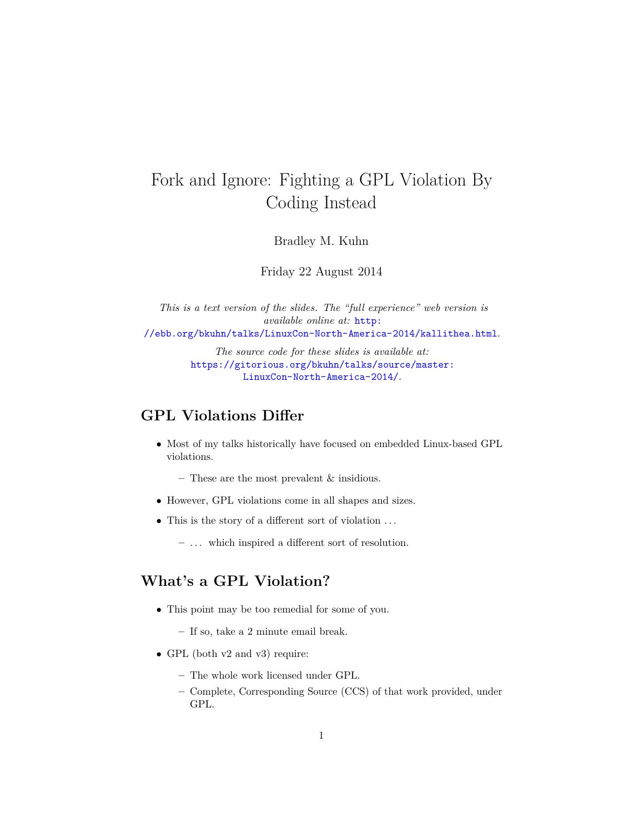# Fork and Ignore: Fighting a GPL Violation By Coding Instead

Bradley M. Kuhn

Friday 22 August 2014

*This is a text version of the slides. The "full experience" web version is available online at:* [http:](http://ebb.org/bkuhn/talks/LinuxCon-North-America-2014/kallithea.html) [//ebb.org/bkuhn/talks/LinuxCon-North-America-2014/kallithea.html](http://ebb.org/bkuhn/talks/LinuxCon-North-America-2014/kallithea.html).

> *The source code for these slides is available at:* [https://gitorious.org/bkuhn/talks/source/master:](https://gitorious.org/bkuhn/talks/source/master:LinuxCon-North-America-2014/) [LinuxCon-North-America-2014/](https://gitorious.org/bkuhn/talks/source/master:LinuxCon-North-America-2014/).

#### **GPL Violations Differ**

• Most of my talks historically have focused on embedded Linux-based GPL violations.

**–** These are the most prevalent & insidious.

- However, GPL violations come in all shapes and sizes.
- This is the story of a different sort of violation . . .

**–** . . . which inspired a different sort of resolution.

## **What's a GPL Violation?**

- This point may be too remedial for some of you.
	- **–** If so, take a 2 minute email break.
- GPL (both v2 and v3) require:
	- **–** The whole work licensed under GPL.
	- **–** Complete, Corresponding Source (CCS) of that work provided, under GPL.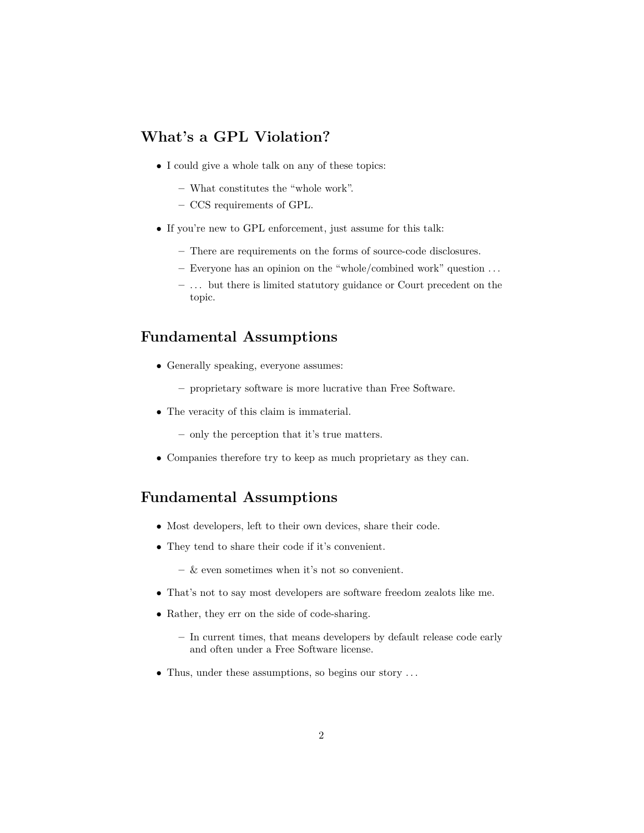#### **What's a GPL Violation?**

- I could give a whole talk on any of these topics:
	- **–** What constitutes the "whole work".
	- **–** CCS requirements of GPL.
- If you're new to GPL enforcement, just assume for this talk:
	- **–** There are requirements on the forms of source-code disclosures.
	- **–** Everyone has an opinion on the "whole/combined work" question . . .
	- **–** . . . but there is limited statutory guidance or Court precedent on the topic.

#### **Fundamental Assumptions**

- Generally speaking, everyone assumes:
	- **–** proprietary software is more lucrative than Free Software.
- The veracity of this claim is immaterial.
	- **–** only the perception that it's true matters.
- Companies therefore try to keep as much proprietary as they can.

## **Fundamental Assumptions**

- Most developers, left to their own devices, share their code.
- They tend to share their code if it's convenient.
	- **–** & even sometimes when it's not so convenient.
- That's not to say most developers are software freedom zealots like me.
- Rather, they err on the side of code-sharing.
	- **–** In current times, that means developers by default release code early and often under a Free Software license.
- Thus, under these assumptions, so begins our story ...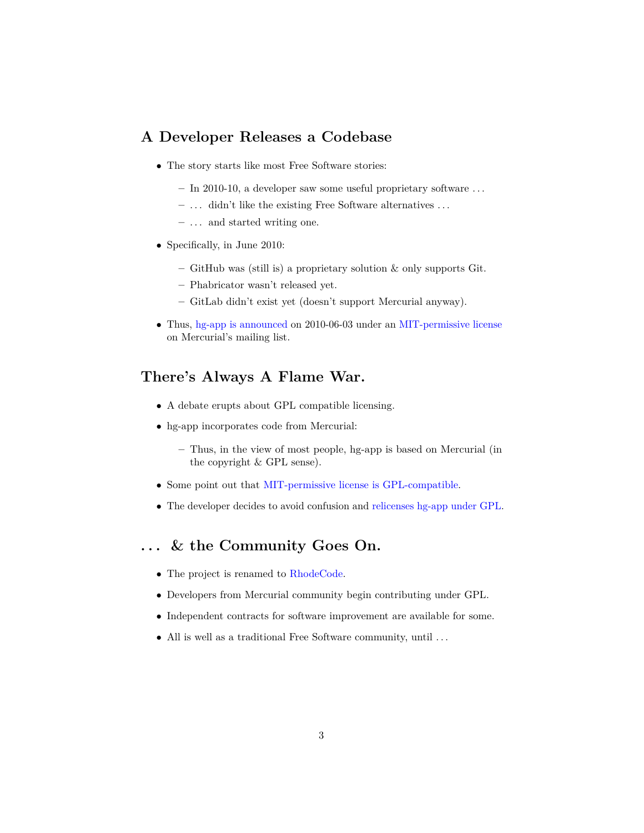#### **A Developer Releases a Codebase**

- The story starts like most Free Software stories:
	- **–** In 2010-10, a developer saw some useful proprietary software . . .
	- **–** . . . didn't like the existing Free Software alternatives . . .
	- **–** . . . and started writing one.
- Specifically, in June 2010:
	- **–** GitHub was (still is) a proprietary solution & only supports Git.
	- **–** Phabricator wasn't released yet.
	- **–** GitLab didn't exist yet (doesn't support Mercurial anyway).
- Thus, [hg-app is announced](http://markmail.org/message/dx2pwuvt2l7u4tpn) on 2010-06-03 under an [MIT-permissive license](https://kallithea-scm.org/repos/kallithea/files/bad9ccac26b7f84d8b7c65098ccfd6cd1903d4fe/LICENSE) on Mercurial's mailing list.

# **There's Always A Flame War.**

- A debate erupts about GPL compatible licensing.
- hg-app incorporates code from Mercurial:
	- **–** Thus, in the view of most people, hg-app is based on Mercurial (in the copyright & GPL sense).
- Some point out that [MIT-permissive license is GPL-compatible.](http://www.gnu.org/licenses/license-list.html#X11License)
- The developer decides to avoid confusion and [relicenses hg-app under GPL.](http://markmail.org/message/bds5x3ebnryzypkc)

## **. . . & the Community Goes On.**

- The project is renamed to [RhodeCode.](http://markmail.org/message/qg545yaqqbbh3xxy)
- Developers from Mercurial community begin contributing under GPL.
- Independent contracts for software improvement are available for some.
- All is well as a traditional Free Software community, until . . .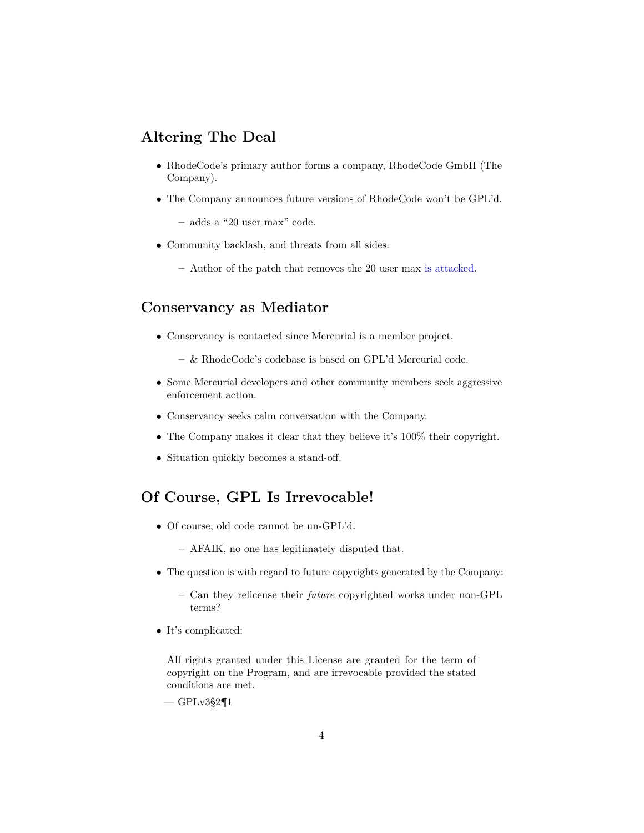#### **Altering The Deal**

- RhodeCode's primary author forms a company, RhodeCode GmbH (The Company).
- The Company announces future versions of RhodeCode won't be GPL'd.
	- **–** adds a "20 user max" code.
- Community backlash, and threats from all sides.
	- **–** Author of the patch that removes the 20 user max [is attacked.](https://github.com/moparisthebest/unlimit-code)

# **Conservancy as Mediator**

- Conservancy is contacted since Mercurial is a member project.
	- **–** & RhodeCode's codebase is based on GPL'd Mercurial code.
- Some Mercurial developers and other community members seek aggressive enforcement action.
- Conservancy seeks calm conversation with the Company.
- The Company makes it clear that they believe it's 100% their copyright.
- Situation quickly becomes a stand-off.

## **Of Course, GPL Is Irrevocable!**

- Of course, old code cannot be un-GPL'd.
	- **–** AFAIK, no one has legitimately disputed that.
- The question is with regard to future copyrights generated by the Company:
	- **–** Can they relicense their *future* copyrighted works under non-GPL terms?
- It's complicated:

All rights granted under this License are granted for the term of copyright on the Program, and are irrevocable provided the stated conditions are met.

 $-$  GPLv3§2¶1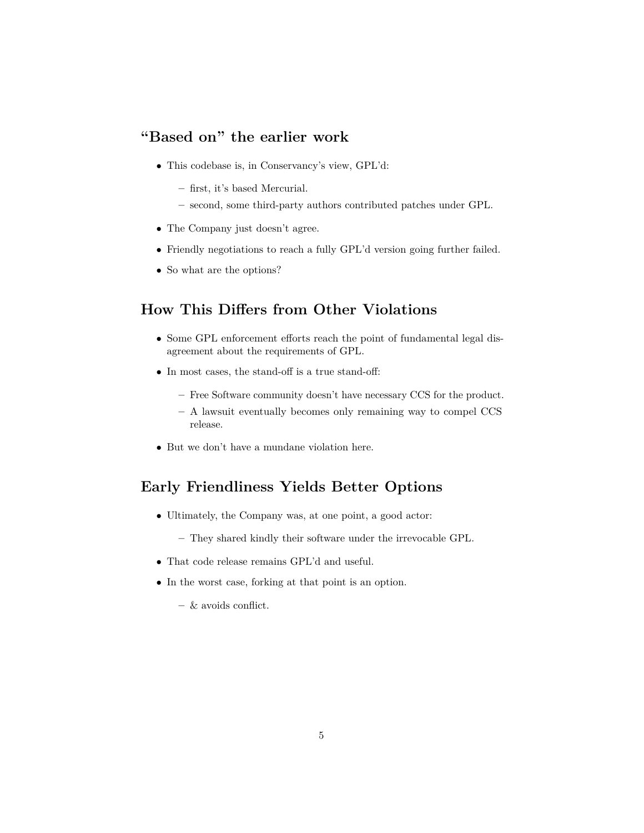# **"Based on" the earlier work**

- This codebase is, in Conservancy's view, GPL'd:
	- **–** first, it's based Mercurial.
	- **–** second, some third-party authors contributed patches under GPL.
- The Company just doesn't agree.
- Friendly negotiations to reach a fully GPL'd version going further failed.
- So what are the options?

## **How This Differs from Other Violations**

- Some GPL enforcement efforts reach the point of fundamental legal disagreement about the requirements of GPL.
- In most cases, the stand-off is a true stand-off:
	- **–** Free Software community doesn't have necessary CCS for the product.
	- **–** A lawsuit eventually becomes only remaining way to compel CCS release.
- But we don't have a mundane violation here.

# **Early Friendliness Yields Better Options**

- Ultimately, the Company was, at one point, a good actor:
	- **–** They shared kindly their software under the irrevocable GPL.
- That code release remains GPL'd and useful.
- In the worst case, forking at that point is an option.
	- **–** & avoids conflict.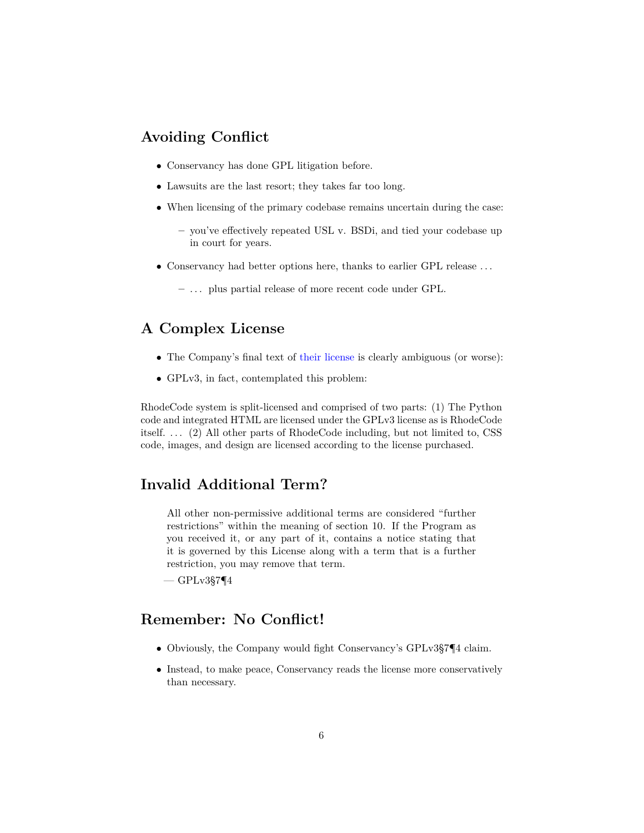## **Avoiding Conflict**

- Conservancy has done GPL litigation before.
- Lawsuits are the last resort; they takes far too long.
- When licensing of the primary codebase remains uncertain during the case:
	- **–** you've effectively repeated USL v. BSDi, and tied your codebase up in court for years.
- Conservancy had better options here, thanks to earlier GPL release . . .
	- **–** . . . plus partial release of more recent code under GPL.

## **A Complex License**

- The Company's final text of [their license](https://rhodecode.com/licenses) is clearly ambiguous (or worse):
- GPLv3, in fact, contemplated this problem:

RhodeCode system is split-licensed and comprised of two parts: (1) The Python code and integrated HTML are licensed under the GPLv3 license as is RhodeCode itself. . . . (2) All other parts of RhodeCode including, but not limited to, CSS code, images, and design are licensed according to the license purchased.

#### **Invalid Additional Term?**

All other non-permissive additional terms are considered "further restrictions" within the meaning of section 10. If the Program as you received it, or any part of it, contains a notice stating that it is governed by this License along with a term that is a further restriction, you may remove that term.

 $-$  GPLv3§7¶4

#### **Remember: No Conflict!**

- Obviously, the Company would fight Conservancy's GPLv3§7¶4 claim.
- Instead, to make peace, Conservancy reads the license more conservatively than necessary.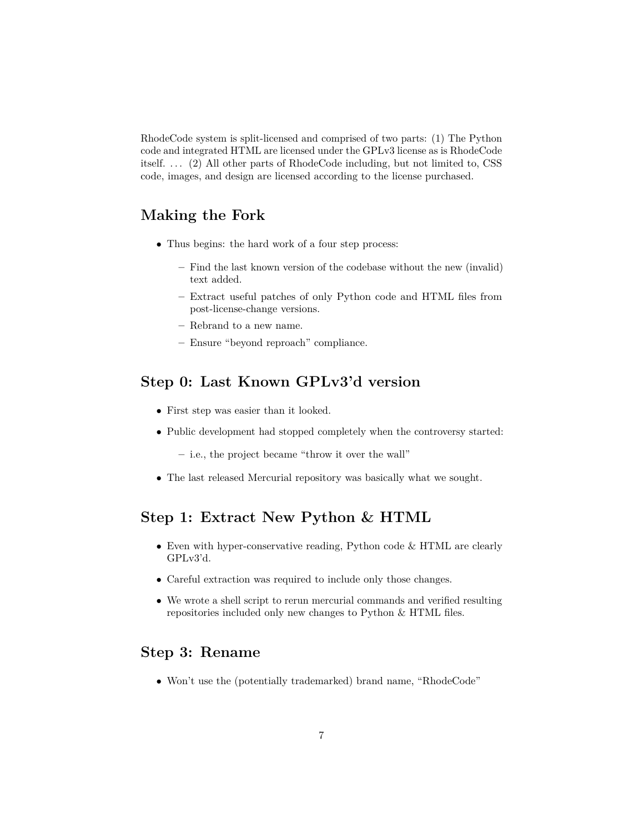RhodeCode system is split-licensed and comprised of two parts: (1) The Python code and integrated HTML are licensed under the GPLv3 license as is RhodeCode itself. . . . (2) All other parts of RhodeCode including, but not limited to, CSS code, images, and design are licensed according to the license purchased.

## **Making the Fork**

- Thus begins: the hard work of a four step process:
	- **–** Find the last known version of the codebase without the new (invalid) text added.
	- **–** Extract useful patches of only Python code and HTML files from post-license-change versions.
	- **–** Rebrand to a new name.
	- **–** Ensure "beyond reproach" compliance.

## **Step 0: Last Known GPLv3'd version**

- First step was easier than it looked.
- Public development had stopped completely when the controversy started:
	- **–** i.e., the project became "throw it over the wall"
- The last released Mercurial repository was basically what we sought.

#### **Step 1: Extract New Python & HTML**

- Even with hyper-conservative reading, Python code & HTML are clearly GPLv3'd.
- Careful extraction was required to include only those changes.
- We wrote a shell script to rerun mercurial commands and verified resulting repositories included only new changes to Python & HTML files.

#### **Step 3: Rename**

• Won't use the (potentially trademarked) brand name, "RhodeCode"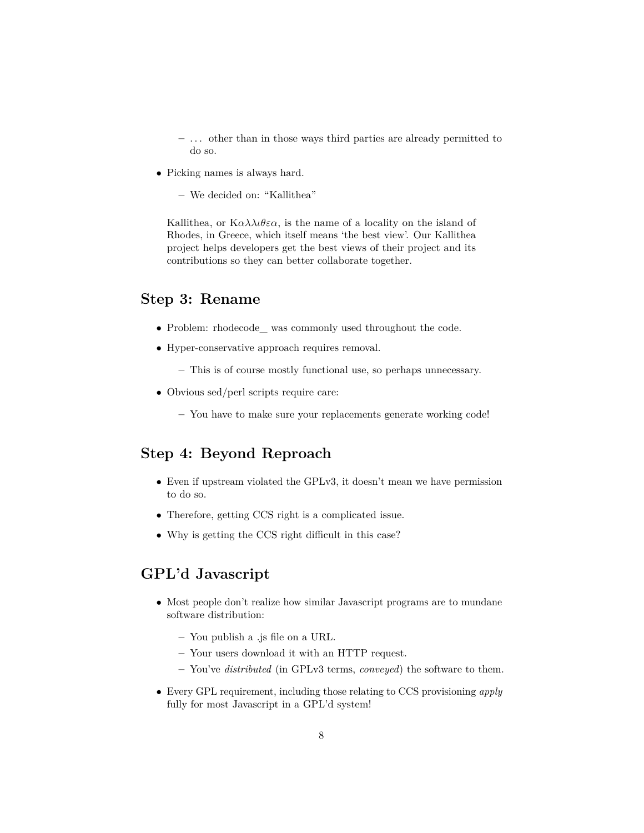**–** . . . other than in those ways third parties are already permitted to do so.

• Picking names is always hard.

**–** We decided on: "Kallithea"

Kallithea, or  $K \alpha \lambda \lambda \iota \theta \varepsilon \alpha$ , is the name of a locality on the island of Rhodes, in Greece, which itself means 'the best view'. Our Kallithea project helps developers get the best views of their project and its contributions so they can better collaborate together.

#### **Step 3: Rename**

- Problem: rhodecode\_ was commonly used throughout the code.
- Hyper-conservative approach requires removal.
	- **–** This is of course mostly functional use, so perhaps unnecessary.
- Obvious sed/perl scripts require care:
	- **–** You have to make sure your replacements generate working code!

#### **Step 4: Beyond Reproach**

- Even if upstream violated the GPLv3, it doesn't mean we have permission to do so.
- Therefore, getting CCS right is a complicated issue.
- Why is getting the CCS right difficult in this case?

## **GPL'd Javascript**

- Most people don't realize how similar Javascript programs are to mundane software distribution:
	- **–** You publish a .js file on a URL.
	- **–** Your users download it with an HTTP request.
	- **–** You've *distributed* (in GPLv3 terms, *conveyed*) the software to them.
- Every GPL requirement, including those relating to CCS provisioning *apply* fully for most Javascript in a GPL'd system!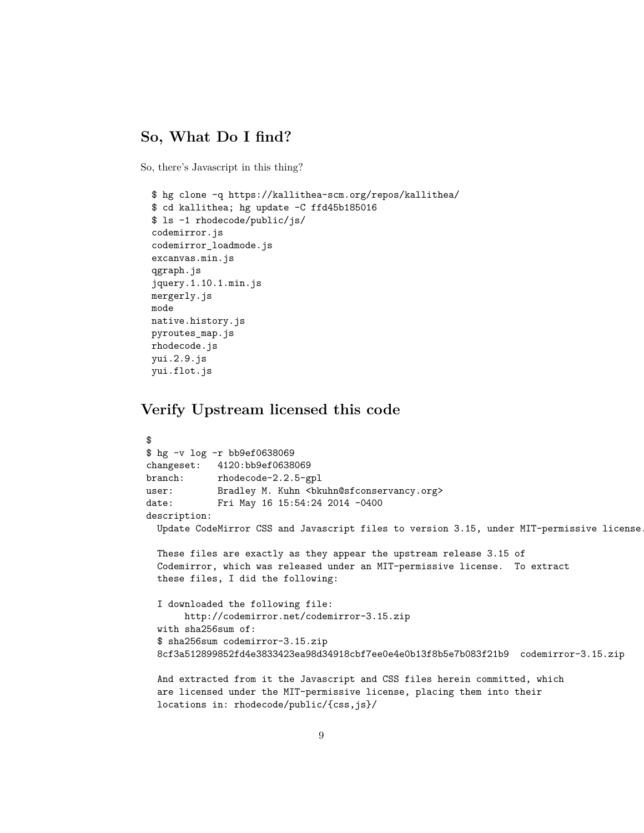#### **So, What Do I find?**

So, there's Javascript in this thing?

```
$ hg clone -q https://kallithea-scm.org/repos/kallithea/
$ cd kallithea; hg update -C ffd45b185016
$ ls -1 rhodecode/public/js/
codemirror.js
codemirror_loadmode.js
excanvas.min.js
qgraph.js
jquery.1.10.1.min.js
mergerly.js
mode
native.history.js
pyroutes_map.js
rhodecode.js
yui.2.9.js
yui.flot.js
```
#### **Verify Upstream licensed this code**

```
$
$ hg -v log -r bb9ef0638069
changeset: 4120:bb9ef0638069
branch: rhodecode-2.2.5-gpl
user: Bradley M. Kuhn <br/>bkuhn@sfconservancy.org>
date: Fri May 16 15:54:24 2014 -0400
description:
  Update CodeMirror CSS and Javascript files to version 3.15, under MIT-permissive license.
  These files are exactly as they appear the upstream release 3.15 of
  Codemirror, which was released under an MIT-permissive license. To extract
  these files, I did the following:
  I downloaded the following file:
       http://codemirror.net/codemirror-3.15.zip
  with sha256sum of:
  $ sha256sum codemirror-3.15.zip
  8cf3a512899852fd4e3833423ea98d34918cbf7ee0e4e0b13f8b5e7b083f21b9 codemirror-3.15.zip
  And extracted from it the Javascript and CSS files herein committed, which
  are licensed under the MIT-permissive license, placing them into their
  locations in: rhodecode/public/{css,js}/
```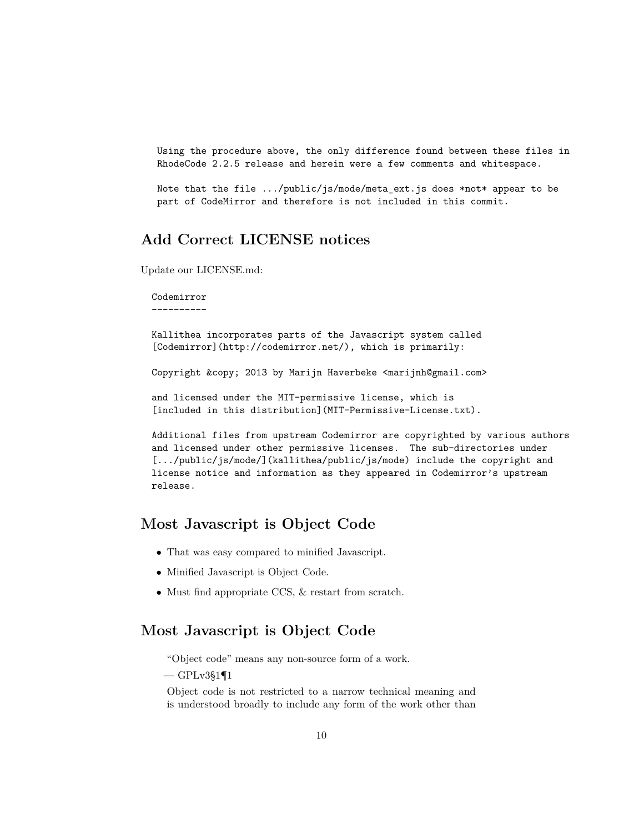Using the procedure above, the only difference found between these files in RhodeCode 2.2.5 release and herein were a few comments and whitespace.

Note that the file .../public/js/mode/meta\_ext.js does \*not\* appear to be part of CodeMirror and therefore is not included in this commit.

## **Add Correct LICENSE notices**

Update our LICENSE.md:

Codemirror ----------

Kallithea incorporates parts of the Javascript system called [Codemirror](http://codemirror.net/), which is primarily:

Copyright & copy; 2013 by Marijn Haverbeke <marijnh@gmail.com>

and licensed under the MIT-permissive license, which is [included in this distribution](MIT-Permissive-License.txt).

Additional files from upstream Codemirror are copyrighted by various authors and licensed under other permissive licenses. The sub-directories under [.../public/js/mode/](kallithea/public/js/mode) include the copyright and license notice and information as they appeared in Codemirror's upstream release.

#### **Most Javascript is Object Code**

- That was easy compared to minified Javascript.
- Minified Javascript is Object Code.
- Must find appropriate CCS, & restart from scratch.

#### **Most Javascript is Object Code**

"Object code" means any non-source form of a work.

 $-$  GPLv3§1¶1

Object code is not restricted to a narrow technical meaning and is understood broadly to include any form of the work other than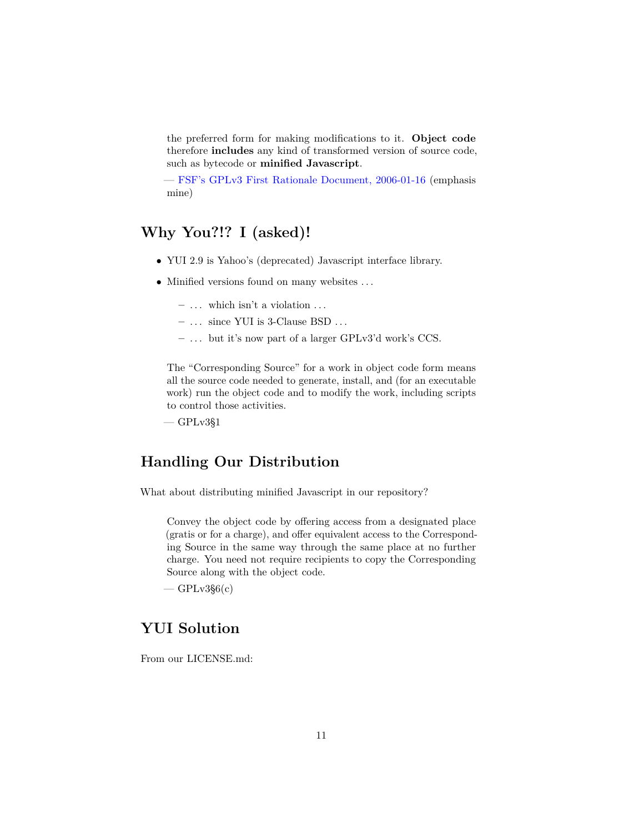the preferred form for making modifications to it. **Object code** therefore **includes** any kind of transformed version of source code, such as bytecode or **minified Javascript**.

— [FSF's GPLv3 First Rationale Document, 2006-01-16](http://gplv3.fsf.org/gpl-rationale-2006-01-16.tex/view) (emphasis mine)

# **Why You?!? I (asked)!**

- YUI 2.9 is Yahoo's (deprecated) Javascript interface library.
- Minified versions found on many websites . . .
	- **–** . . . which isn't a violation . . .
	- **–** . . . since YUI is 3-Clause BSD . . .
	- **–** . . . but it's now part of a larger GPLv3'd work's CCS.

The "Corresponding Source" for a work in object code form means all the source code needed to generate, install, and (for an executable work) run the object code and to modify the work, including scripts to control those activities.

 $-$  GPL $v3§1$ 

## **Handling Our Distribution**

What about distributing minified Javascript in our repository?

Convey the object code by offering access from a designated place (gratis or for a charge), and offer equivalent access to the Corresponding Source in the same way through the same place at no further charge. You need not require recipients to copy the Corresponding Source along with the object code.

 $-$  GPLv3§6 $(c)$ 

## **YUI Solution**

From our LICENSE.md: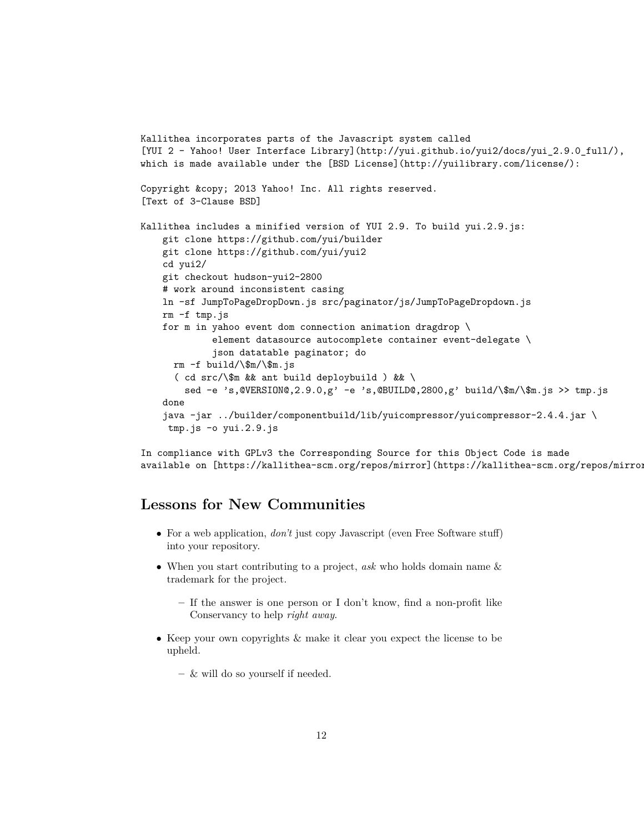```
Kallithea incorporates parts of the Javascript system called
[YUI 2 — Yahoo! User Interface Library](http://yui.github.io/yui2/docs/yui_2.9.0_full/),
which is made available under the [BSD License](http://yuilibrary.com/license/):
Copyright © 2013 Yahoo! Inc. All rights reserved.
[Text of 3-Clause BSD]
Kallithea includes a minified version of YUI 2.9. To build yui.2.9.js:
    git clone https://github.com/yui/builder
   git clone https://github.com/yui/yui2
    cd yui2/
    git checkout hudson-yui2-2800
    # work around inconsistent casing
   ln -sf JumpToPageDropDown.js src/paginator/js/JumpToPageDropdown.js
   rm -f tmp.js
    for m in yahoo event dom connection animation dragdrop \
             element datasource autocomplete container event-delegate \
             json datatable paginator; do
     rm -f build/\$m/\$m.js
      ( cd src/\$m && ant build deploybuild ) && \
        sed -e 's,@VERSION@,2.9.0,g' -e 's,@BUILD@,2800,g' build/\$m/\$m.js >> tmp.js
    done
    java -jar ../builder/componentbuild/lib/yuicompressor/yuicompressor-2.4.4.jar \
     tmp.js -o yui.2.9.js
```
In compliance with GPLv3 the Corresponding Source for this Object Code is made available on [https://kallithea-scm.org/repos/mirror](https://kallithea-scm.org/repos/mirror).

#### **Lessons for New Communities**

- For a web application, *don't* just copy Javascript (even Free Software stuff) into your repository.
- When you start contributing to a project, *ask* who holds domain name & trademark for the project.
	- **–** If the answer is one person or I don't know, find a non-profit like Conservancy to help *right away*.
- Keep your own copyrights & make it clear you expect the license to be upheld.
	- **–** & will do so yourself if needed.